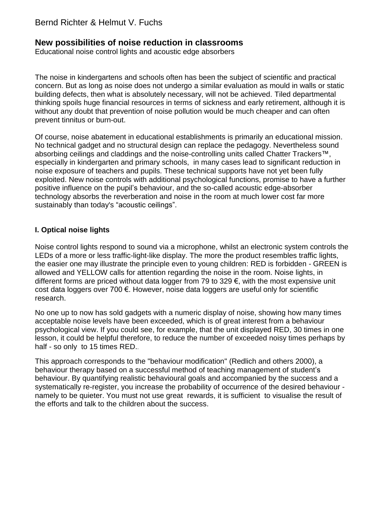# Bernd Richter & Helmut V. Fuchs

## **New possibilities of noise reduction in classrooms**

Educational noise control lights and acoustic edge absorbers

The noise in kindergartens and schools often has been the subject of scientific and practical concern. But as long as noise does not undergo a similar evaluation as mould in walls or static building defects, then what is absolutely necessary, will not be achieved. Tiled departmental thinking spoils huge financial resources in terms of sickness and early retirement, although it is without any doubt that prevention of noise pollution would be much cheaper and can often prevent tinnitus or burn-out.

Of course, noise abatement in educational establishments is primarily an educational mission. No technical gadget and no structural design can replace the pedagogy. Nevertheless sound absorbing ceilings and claddings and the noise-controlling units called Chatter Trackers™, especially in kindergarten and primary schools, in many cases lead to significant reduction in noise exposure of teachers and pupils. These technical supports have not yet been fully exploited. New noise controls with additional psychological functions, promise to have a further positive influence on the pupil's behaviour, and the so-called acoustic edge-absorber technology absorbs the reverberation and noise in the room at much lower cost far more sustainably than today's "acoustic ceilings".

### **I. Optical noise lights**

Noise control lights respond to sound via a microphone, whilst an electronic system controls the LEDs of a more or less traffic-light-like display. The more the product resembles traffic lights, the easier one may illustrate the principle even to young children: RED is forbidden - GREEN is allowed and YELLOW calls for attention regarding the noise in the room. Noise lights, in different forms are priced without data logger from 79 to 329 €, with the most expensive unit cost data loggers over 700 €. However, noise data loggers are useful only for scientific research.

No one up to now has sold gadgets with a numeric display of noise, showing how many times acceptable noise levels have been exceeded, which is of great interest from a behaviour psychological view. If you could see, for example, that the unit displayed RED, 30 times in one lesson, it could be helpful therefore, to reduce the number of exceeded noisy times perhaps by half - so only to 15 times RED..

This approach corresponds to the "behaviour modification" (Redlich and others 2000), a behaviour therapy based on a successful method of teaching management of student's behaviour. By quantifying realistic behavioural goals and accompanied by the success and a systematically re-register, you increase the probability of occurrence of the desired behaviour namely to be quieter. You must not use great rewards, it is sufficient to visualise the result of the efforts and talk to the children about the success.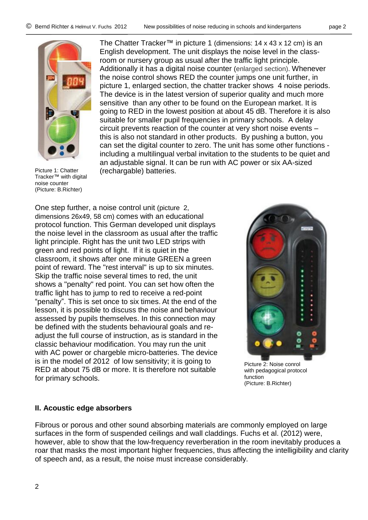

Picture 1: Chatter Tracker™ with digital noise counter (Picture: B.Richter)

The Chatter Tracker™ in picture 1 (dimensions: 14 x 43 x 12 cm) is an English development. The unit displays the noise level in the classroom or nursery group as usual after the traffic light principle. Additionally it has a digital noise counter (enlarged section). Whenever the noise control shows RED the counter jumps one unit further, in picture 1, enlarged section, the chatter tracker shows 4 noise periods. The device is in the latest version of superior quality and much more sensitive than any other to be found on the European market. It is going to RED in the lowest position at about 45 dB. Therefore it is also suitable for smaller pupil frequencies in primary schools. A delay circuit prevents reaction of the counter at very short noise events – this is also not standard in other products. By pushing a button, you can set the digital counter to zero. The unit has some other functions including a multilingual verbal invitation to the students to be quiet and an adjustable signal. It can be run with AC power or six AA-sized (rechargable) batteries.

One step further, a noise control unit (picture 2, dimensions 26x49, 58 cm) comes with an educational protocol function. This German developed unit displays the noise level in the classroom as usual after the traffic light principle. Right has the unit two LED strips with green and red points of light. If it is quiet in the classroom, it shows after one minute GREEN a green point of reward. The "rest interval" is up to six minutes. Skip the traffic noise several times to red, the unit shows a "penalty" red point. You can set how often the traffic light has to jump to red to receive a red-point "penalty". This is set once to six times. At the end of the lesson, it is possible to discuss the noise and behaviour assessed by pupils themselves. In this connection may be defined with the students behavioural goals and readjust the full course of instruction, as is standard in the classic behaviour modification. You may run the unit with AC power or chargeble micro-batteries. The device is in the model of 2012 of low sensitivity; it is going to RED at about 75 dB or more. It is therefore not suitable for primary schools.



Picture 2: Noise conrol with pedagogical protocol function (Picture: B.Richter)

### **II. Acoustic edge absorbers**

Fibrous or porous and other sound absorbing materials are commonly employed on large surfaces in the form of suspended ceilings and wall claddings. Fuchs et al. (2012) were, however, able to show that the low-frequency reverberation in the room inevitably produces a roar that masks the most important higher frequencies, thus affecting the intelligibility and clarity of speech and, as a result, the noise must increase considerably.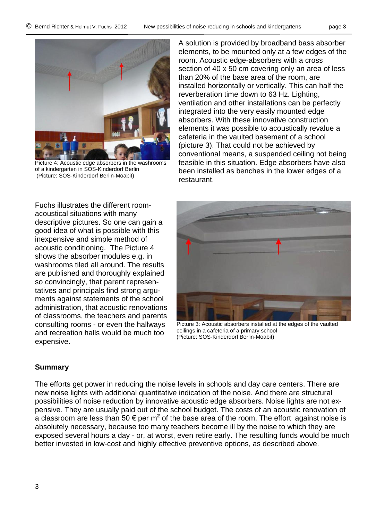

Picture 4: Acoustic edge absorbers in the washrooms of a kindergarten in SOS-Kinderdorf Berlin (Picture: SOS-Kinderdorf Berlin-Moabit)

A solution is provided by broadband bass absorber elements, to be mounted only at a few edges of the room. Acoustic edge-absorbers with a cross section of 40 x 50 cm covering only an area of less than 20% of the base area of the room, are installed horizontally or vertically. This can half the reverberation time down to 63 Hz. Lighting, ventilation and other installations can be perfectly integrated into the very easily mounted edge absorbers. With these innovative construction elements it was possible to acoustically revalue a cafeteria in the vaulted basement of a school (picture 3). That could not be achieved by conventional means, a suspended ceiling not being feasible in this situation. Edge absorbers have also been installed as benches in the lower edges of a restaurant.

Fuchs illustrates the different roomacoustical situations with many descriptive pictures. So one can gain a good idea of what is possible with this inexpensive and simple method of acoustic conditioning. The Picture 4 shows the absorber modules e.g. in washrooms tiled all around. The results are published and thoroughly explained so convincingly, that parent representatives and principals find strong arguments against statements of the school administration, that acoustic renovations of classrooms, the teachers and parents consulting rooms - or even the hallways and recreation halls would be much too expensive.



Picture 3: Acoustic absorbers installed at the edges of the vaulted ceilings in a cafeteria of a primary school (Picture: SOS-Kinderdorf Berlin-Moabit)

## **Summary**

The efforts get power in reducing the noise levels in schools and day care centers. There are new noise lights with additional quantitative indication of the noise. And there are structural possibilities of noise reduction by innovative acoustic edge absorbers. Noise lights are not expensive. They are usually paid out of the school budget. The costs of an acoustic renovation of a classroom are less than 50  $\epsilon$  per m<sup>2</sup> of the base area of the room. The effort against noise is absolutely necessary, because too many teachers become ill by the noise to which they are exposed several hours a day - or, at worst, even retire early. The resulting funds would be much better invested in low-cost and highly effective preventive options, as described above.